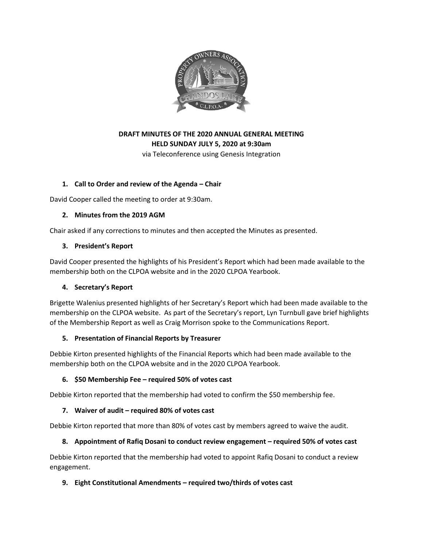

**DRAFT MINUTES OF THE 2020 ANNUAL GENERAL MEETING HELD SUNDAY JULY 5, 2020 at 9:30am**

via Teleconference using Genesis Integration

## **1. Call to Order and review of the Agenda – Chair**

David Cooper called the meeting to order at 9:30am.

#### **2. Minutes from the 2019 AGM**

Chair asked if any corrections to minutes and then accepted the Minutes as presented.

#### **3. President's Report**

David Cooper presented the highlights of his President's Report which had been made available to the membership both on the CLPOA website and in the 2020 CLPOA Yearbook.

## **4. Secretary's Report**

Brigette Walenius presented highlights of her Secretary's Report which had been made available to the membership on the CLPOA website. As part of the Secretary's report, Lyn Turnbull gave brief highlights of the Membership Report as well as Craig Morrison spoke to the Communications Report.

## **5. Presentation of Financial Reports by Treasurer**

Debbie Kirton presented highlights of the Financial Reports which had been made available to the membership both on the CLPOA website and in the 2020 CLPOA Yearbook.

#### **6. \$50 Membership Fee – required 50% of votes cast**

Debbie Kirton reported that the membership had voted to confirm the \$50 membership fee.

## **7. Waiver of audit – required 80% of votes cast**

Debbie Kirton reported that more than 80% of votes cast by members agreed to waive the audit.

## **8. Appointment of Rafiq Dosani to conduct review engagement – required 50% of votes cast**

Debbie Kirton reported that the membership had voted to appoint Rafiq Dosani to conduct a review engagement.

## **9. Eight Constitutional Amendments – required two/thirds of votes cast**